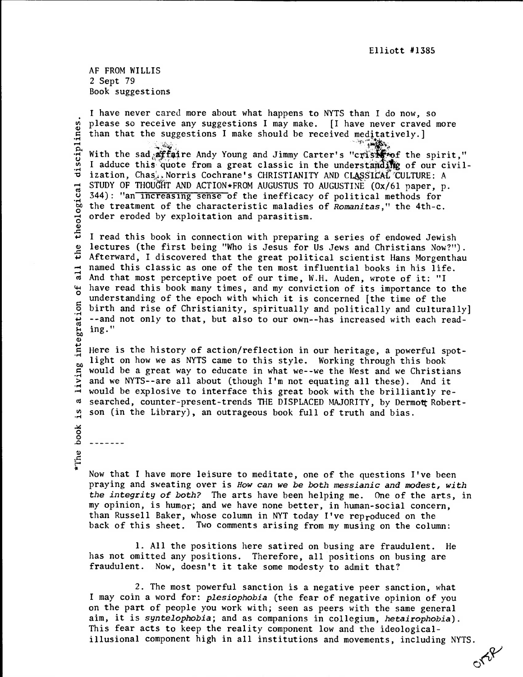AF FROM WILLIS 2 Sept 79 Book suggestions

I have never cared more about what happens to NYTS than I do now, so please so receive any suggestions I may make. [I have never craved more<br>than that the suggestions I make should be received meditatively.]<br>With the sad affaire Andy Young and Jimmy Carter's "cristers of the spirit<br>"I adduc V. With the sad affaire Andy Young and Jimmy Carter's "crist ref the spirit," I adduce this quote from a great classic in the understanding of our civilization, Chas:, Norris Cochrane's CHRISTIANITY AND CLASSICAL CULTURE: A STUDY OF THOUGHT AND ACTION FROM AUGUSTUS TO AUGUSTINE  $(0x/61$  paper, p. 344): "an increasing sense of the inefficacy of political methods for the treatment of the characteristic maladies of Romanitas," the 4th-c. order eroded by exploitation and parasitism. theological 4-) I read this book in connection with preparing a series of endowed Jewish O lectures (the first being "Who is Jesus for Us Jews and Christians Now?"). 4.0 Afterward, I discovered that the great political scientist Hans Morgenthau  $\equiv$  named this classic as one of the ten most influential books in his life. And that most perceptive poet of our time, W.H. Auden, wrote of it: "I 4-1 have read this book many times, and my conviction of its importance to the understanding of the epoch with which it is concerned [the time of the

birth and rise of Christianity, spiritually and politically and culturally] --and not only to that, but also to our own--has increased with each read-• ing."

integration Here is the history of action/reflection in our heritage, a powerful spotlight on how we as NYTS came to this style. Working through this book Iight on how we as NYTS came to this style. Working through this book<br>  $\frac{1}{12}$  would be a great way to educate in what we--we the West and we Christians<br>  $\frac{1}{12}$  and we NYTS--are all about (though I'm not equating al and we NYTS--are all about (though I'm not equating all these). And it would be explosive to interface this great book with the brilliantly rea searched, counter-present-trends THE DISPLACED MAJORITY, by Dermot Robert-<br>" son (in the Library), an outrageous book full of truth and bias. son (in the Library), an outrageous book full of truth and bias.

book \* The

. . . . . . .

Now that I have more leisure to meditate, one of the questions I've been praying and sweating over is How can we be both messianic and modest, with the integrity of both? The arts have been helping me. One of the arts, in my opinion, is humor; and we have none better, in human-social concern, than Russell Baker, whose column in NYT today I've reproduced on the back of this sheet. Two comments arising from my musing on the column:

1. All the positions here satired on busing are fraudulent. He has not omitted any positions. Therefore, all positions on busing are fraudulent. Now, doesn't it take some modesty to admit that?

2. The most powerful sanction is a negative peer sanction, what I may coin a word for: plesiophobia (the fear of negative opinion of you on the part of people you work with; seen as peers with the same general aim, it is syntelophobia; and as companions in collegium, hetairophobia). This fear acts to keep the reality component low and the ideologicalillusional component high in all institutions and movements, including NYTS.

 $ORe$